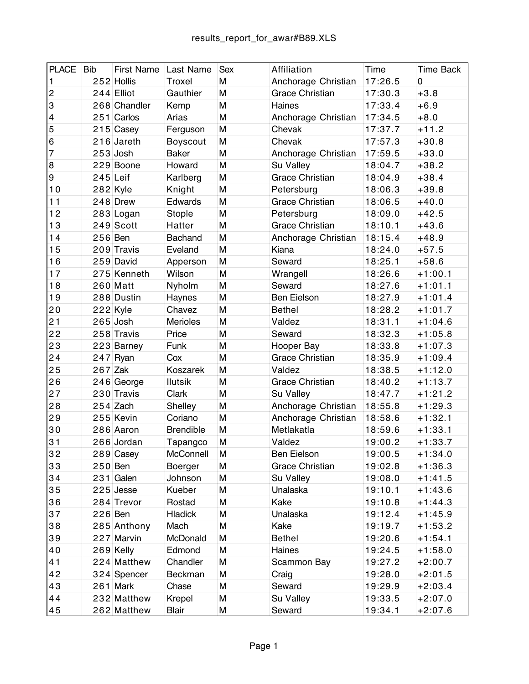| <b>PLACE</b>            | <b>Bib</b> | <b>First Name</b> | <b>Last Name</b> | <b>Sex</b> | Affiliation            | Time    | <b>Time Back</b> |
|-------------------------|------------|-------------------|------------------|------------|------------------------|---------|------------------|
| $\mathbf{1}$            |            | 252 Hollis        | Troxel           | M          | Anchorage Christian    | 17:26.5 | 0                |
| $\overline{c}$          |            | $244$ Elliot      | Gauthier         | M          | <b>Grace Christian</b> | 17:30.3 | $+3.8$           |
| $\overline{3}$          |            | 268 Chandler      | Kemp             | M          | Haines                 | 17:33.4 | $+6.9$           |
| $\overline{\mathbf{4}}$ |            | $251$ Carlos      | Arias            | M          | Anchorage Christian    | 17:34.5 | $+8.0$           |
| $\overline{5}$          |            | $215$ Casey       | Ferguson         | M          | Chevak                 | 17:37.7 | $+11.2$          |
| $\,6$                   |            | $216$ Jareth      | Boyscout         | M          | Chevak                 | 17:57.3 | $+30.8$          |
| $\overline{7}$          |            | $253$ Josh        | <b>Baker</b>     | M          | Anchorage Christian    | 17:59.5 | $+33.0$          |
| 8                       |            | 229 Boone         | Howard           | M          | Su Valley              | 18:04.7 | $+38.2$          |
| $\boldsymbol{9}$        | $245$ Leif |                   | Karlberg         | M          | <b>Grace Christian</b> | 18:04.9 | $+38.4$          |
| 10                      |            | $282$ Kyle        | Knight           | M          | Petersburg             | 18:06.3 | $+39.8$          |
| 11                      |            | $248$ Drew        | Edwards          | M          | <b>Grace Christian</b> | 18:06.5 | $+40.0$          |
| 12                      |            | 283 Logan         | Stople           | M          | Petersburg             | 18:09.0 | $+42.5$          |
| 13                      |            | $249$ Scott       | Hatter           | M          | <b>Grace Christian</b> | 18:10.1 | $+43.6$          |
| 14                      | 256 Ben    |                   | <b>Bachand</b>   | M          | Anchorage Christian    | 18:15.4 | $+48.9$          |
| 15                      |            | 209 Travis        | Eveland          | M          | Kiana                  | 18:24.0 | $+57.5$          |
| 16                      |            | 259 David         | Apperson         | M          | Seward                 | 18:25.1 | $+58.6$          |
| 17                      |            | 275 Kenneth       | Wilson           | M          | Wrangell               | 18:26.6 | $+1:00.1$        |
| 18                      |            | $260$ Matt        | Nyholm           | M          | Seward                 | 18:27.6 | $+1:01.1$        |
| 19                      |            | 288 Dustin        | Haynes           | M          | Ben Eielson            | 18:27.9 | $+1:01.4$        |
| 20                      |            | $222$ Kyle        | Chavez           | M          | <b>Bethel</b>          | 18:28.2 | $+1:01.7$        |
| 21                      |            | $265$ Josh        | <b>Merioles</b>  | M          | Valdez                 | 18:31.1 | $+1:04.6$        |
| 22                      |            | 258 Travis        | Price            | M          | Seward                 | 18:32.3 | $+1:05.8$        |
| 23                      |            | 223 Barney        | Funk             | M          | Hooper Bay             | 18:33.8 | $+1:07.3$        |
| 24                      |            | $247$ Ryan        | Cox              | M          | <b>Grace Christian</b> | 18:35.9 | $+1:09.4$        |
| 25                      | $267$ Zak  |                   | Koszarek         | M          | Valdez                 | 18:38.5 | $+1:12.0$        |
| 26                      |            | $246$ George      | <b>Ilutsik</b>   | M          | <b>Grace Christian</b> | 18:40.2 | $+1:13.7$        |
| 27                      |            | 230 Travis        | Clark            | M          | Su Valley              | 18:47.7 | $+1:21.2$        |
| 28                      |            | $254$ Zach        | Shelley          | M          | Anchorage Christian    | 18:55.8 | $+1:29.3$        |
| 29                      |            | 255 Kevin         | Coriano          | M          | Anchorage Christian    | 18:58.6 | $+1:32.1$        |
| 30                      |            | 286 Aaron         | <b>Brendible</b> | M          | Metlakatla             | 18:59.6 | $+1:33.1$        |
| 31                      |            | 266 Jordan        | Tapangco         | M          | Valdez                 | 19:00.2 | $+1:33.7$        |
| 32                      |            | 289 Casey         | McConnell        | M          | Ben Eielson            | 19:00.5 | $+1:34.0$        |
| 33                      | $250$ Ben  |                   | Boerger          | M          | <b>Grace Christian</b> | 19:02.8 | $+1:36.3$        |
| 34                      |            | $231$ Galen       | Johnson          | M          | Su Valley              | 19:08.0 | $+1:41.5$        |
| 35                      |            | $225$ Jesse       | Kueber           | M          | Unalaska               | 19:10.1 | $+1:43.6$        |
| 36                      |            | 284 Trevor        | Rostad           | M          | Kake                   | 19:10.8 | $+1:44.3$        |
| 37                      | 226 Ben    |                   | <b>Hladick</b>   | M          | Unalaska               | 19:12.4 | +1:45.9          |
| 38                      |            | 285 Anthony       | Mach             | M          | Kake                   | 19:19.7 | $+1:53.2$        |
| 39                      |            | 227 Marvin        | McDonald         | M          | <b>Bethel</b>          | 19:20.6 | $+1:54.1$        |
| 40                      |            | $269$ Kelly       | Edmond           | M          | Haines                 | 19:24.5 | $+1:58.0$        |
| 41                      |            | 224 Matthew       | Chandler         | M          | Scammon Bay            | 19:27.2 | $+2:00.7$        |
| 42                      |            | 324 Spencer       | <b>Beckman</b>   | M          | Craig                  | 19:28.0 | $+2:01.5$        |
| 43                      |            | $261$ Mark        | Chase            | M          | Seward                 | 19:29.9 | $+2:03.4$        |
| 44                      |            | 232 Matthew       | Krepel           | М          | Su Valley              | 19:33.5 | $+2:07.0$        |
| 45                      |            | 262 Matthew       | Blair            | M          | Seward                 | 19:34.1 | +2:07.6          |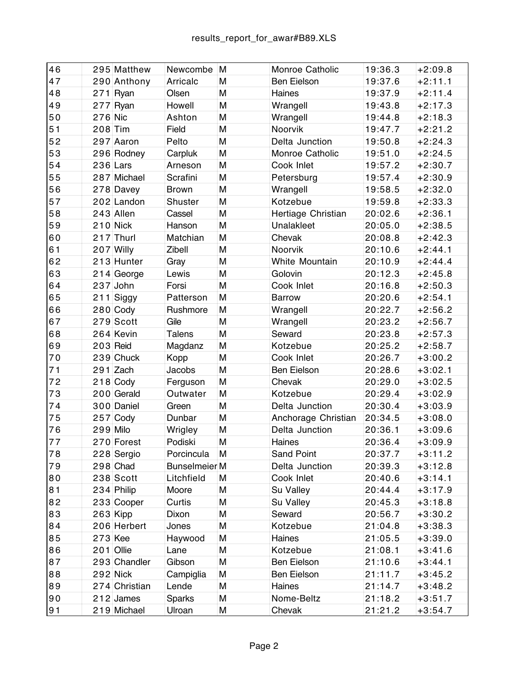| 46 | 295 Matthew   | Newcombe                 | M | Monroe Catholic     | 19:36.3 | $+2:09.8$ |
|----|---------------|--------------------------|---|---------------------|---------|-----------|
| 47 | 290 Anthony   | Arricalc                 | M | <b>Ben Eielson</b>  | 19:37.6 | $+2:11.1$ |
| 48 | $271$ Ryan    | Olsen                    | M | Haines              | 19:37.9 | $+2:11.4$ |
| 49 | $277$ Ryan    | Howell                   | M | Wrangell            | 19:43.8 | $+2:17.3$ |
| 50 | $276$ Nic     | Ashton                   | M | Wrangell            | 19:44.8 | $+2:18.3$ |
| 51 | $208$ Tim     | Field                    | M | Noorvik             | 19:47.7 | $+2:21.2$ |
| 52 | 297 Aaron     | Pelto                    | M | Delta Junction      | 19:50.8 | $+2:24.3$ |
| 53 | 296 Rodney    | Carpluk                  | M | Monroe Catholic     | 19:51.0 | $+2:24.5$ |
| 54 | $236$ Lars    | Arneson                  | M | Cook Inlet          | 19:57.2 | $+2:30.7$ |
| 55 | 287 Michael   | Scrafini                 | M | Petersburg          | 19:57.4 | $+2:30.9$ |
| 56 | 278 Davey     | <b>Brown</b>             | M | Wrangell            | 19:58.5 | $+2:32.0$ |
| 57 | 202 Landon    | Shuster                  | M | Kotzebue            | 19:59.8 | $+2:33.3$ |
| 58 | $243$ Allen   | Cassel                   | M | Hertiage Christian  | 20:02.6 | $+2:36.1$ |
| 59 | $210$ Nick    | Hanson                   | M | Unalakleet          | 20:05.0 | $+2:38.5$ |
| 60 | $217$ Thurl   | Matchian                 | M | Chevak              | 20:08.8 | $+2:42.3$ |
| 61 | $207$ Willy   | Zibell                   | M | Noorvik             | 20:10.6 | $+2:44.1$ |
| 62 | 213 Hunter    | Gray                     | M | White Mountain      | 20:10.9 | $+2:44.4$ |
| 63 | 214 George    | Lewis                    | M | Golovin             | 20:12.3 | $+2:45.8$ |
| 64 | $237$ John    | Forsi                    | M | Cook Inlet          | 20:16.8 | $+2:50.3$ |
| 65 | $211$ Siggy   | Patterson                | M | <b>Barrow</b>       | 20:20.6 | $+2:54.1$ |
| 66 | $280$ Cody    | Rushmore                 | M | Wrangell            | 20:22.7 | $+2:56.2$ |
| 67 | $279$ Scott   | Gile                     | M | Wrangell            | 20:23.2 | $+2:56.7$ |
| 68 | 264 Kevin     | Talens                   | M | Seward              | 20:23.8 | $+2:57.3$ |
| 69 | $203$ Reid    | Magdanz                  | M | Kotzebue            | 20:25.2 | $+2:58.7$ |
| 70 | $239$ Chuck   | Kopp                     | M | Cook Inlet          | 20:26.7 | $+3:00.2$ |
| 71 | $291$ Zach    | Jacobs                   | M | <b>Ben Eielson</b>  | 20:28.6 | $+3:02.1$ |
| 72 | $218$ Cody    | Ferguson                 | M | Chevak              | 20:29.0 | $+3:02.5$ |
| 73 | $200$ Gerald  | Outwater                 | M | Kotzebue            | 20:29.4 | $+3:02.9$ |
| 74 | 300 Daniel    | Green                    | M | Delta Junction      | 20:30.4 | $+3:03.9$ |
| 75 | $257$ Cody    | Dunbar                   | M | Anchorage Christian | 20:34.5 | $+3:08.0$ |
| 76 | $299$ Milo    | Wrigley                  | M | Delta Junction      | 20:36.1 | $+3:09.6$ |
| 77 | 270 Forest    | Podiski                  | M | Haines              | 20:36.4 | $+3:09.9$ |
| 78 | 228 Sergio    | Porcincula               | M | Sand Point          | 20:37.7 | $+3:11.2$ |
| 79 | $298$ Chad    | Bunselmeier <sup>M</sup> |   | Delta Junction      | 20:39.3 | $+3:12.8$ |
| 80 | $238$ Scott   | Litchfield               | M | Cook Inlet          | 20:40.6 | $+3:14.1$ |
| 81 | $234$ Philip  | Moore                    | M | Su Valley           | 20:44.4 | $+3:17.9$ |
| 82 | 233 Cooper    | Curtis                   | M | Su Valley           | 20:45.3 | $+3:18.8$ |
| 83 | $263$ Kipp    | Dixon                    | M | Seward              | 20:56.7 | $+3:30.2$ |
| 84 | 206 Herbert   | Jones                    | M | Kotzebue            | 21:04.8 | $+3:38.3$ |
| 85 | $273$ Kee     | Haywood                  | M | Haines              | 21:05.5 | $+3:39.0$ |
| 86 | $201$ Ollie   | Lane                     | M | Kotzebue            | 21:08.1 | $+3:41.6$ |
| 87 | 293 Chandler  | Gibson                   | M | Ben Eielson         | 21:10.6 | $+3:44.1$ |
| 88 | $292$ Nick    | Campiglia                | M | Ben Eielson         | 21:11.7 | $+3:45.2$ |
| 89 | 274 Christian | Lende                    | M | Haines              | 21:14.7 | $+3:48.2$ |
| 90 | $212$ James   | <b>Sparks</b>            | M | Nome-Beltz          | 21:18.2 | $+3:51.7$ |
| 91 | $219$ Michael | Ulroan                   | M | Chevak              | 21:21.2 | $+3:54.7$ |